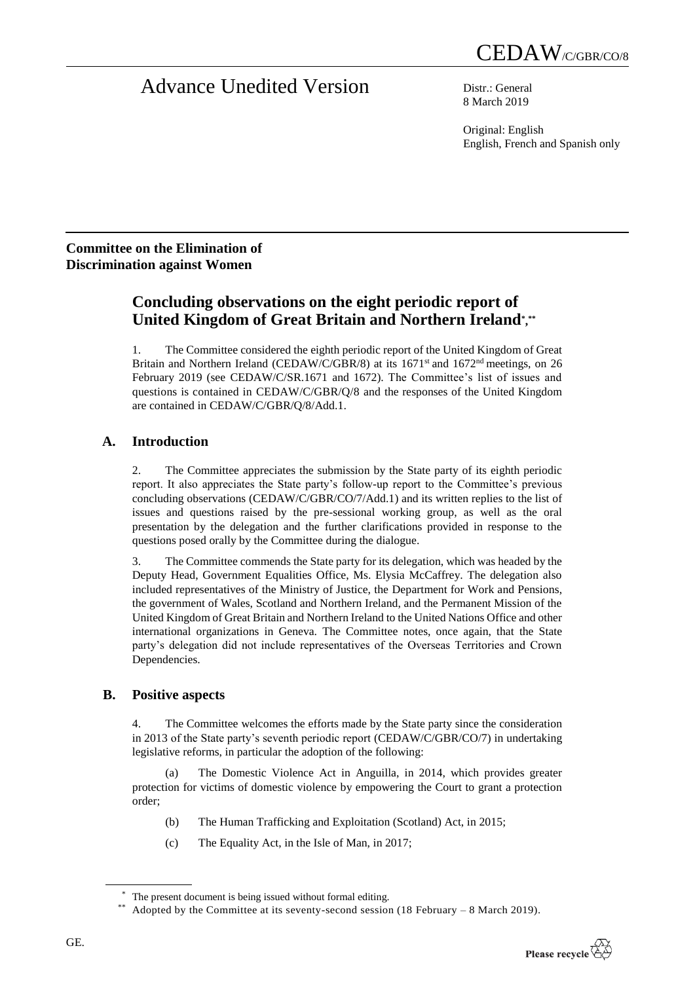# Advance Unedited Version Distr.: General

8 March 2019

Original: English English, French and Spanish only

## **Committee on the Elimination of Discrimination against Women**

## **Concluding observations on the eight periodic report of United Kingdom of Great Britain and Northern Ireland\* , \*\***

1. The Committee considered the eighth periodic report of the United Kingdom of Great Britain and Northern Ireland (CEDAW/C/GBR/8) at its 1671<sup>st</sup> and 1672<sup>nd</sup> meetings, on 26 February 2019 (see CEDAW/C/SR.1671 and 1672). The Committee's list of issues and questions is contained in CEDAW/C/GBR/Q/8 and the responses of the United Kingdom are contained in CEDAW/C/GBR/Q/8/Add.1.

## **A. Introduction**

2. The Committee appreciates the submission by the State party of its eighth periodic report. It also appreciates the State party's follow-up report to the Committee's previous concluding observations (CEDAW/C/GBR/CO/7/Add.1) and its written replies to the list of issues and questions raised by the pre-sessional working group, as well as the oral presentation by the delegation and the further clarifications provided in response to the questions posed orally by the Committee during the dialogue.

3. The Committee commends the State party for its delegation, which was headed by the Deputy Head, Government Equalities Office, Ms. Elysia McCaffrey. The delegation also included representatives of the Ministry of Justice, the Department for Work and Pensions, the government of Wales, Scotland and Northern Ireland, and the Permanent Mission of the United Kingdom of Great Britain and Northern Ireland to the United Nations Office and other international organizations in Geneva. The Committee notes, once again, that the State party's delegation did not include representatives of the Overseas Territories and Crown Dependencies.

## **B. Positive aspects**

4. The Committee welcomes the efforts made by the State party since the consideration in 2013 of the State party's seventh periodic report (CEDAW/C/GBR/CO/7) in undertaking legislative reforms, in particular the adoption of the following:

(a) The Domestic Violence Act in Anguilla, in 2014, which provides greater protection for victims of domestic violence by empowering the Court to grant a protection order;

- (b) The Human Trafficking and Exploitation (Scotland) Act, in 2015;
- (c) The Equality Act, in the Isle of Man, in 2017;

The present document is being issued without formal editing.

Adopted by the Committee at its seventy-second session (18 February – 8 March 2019).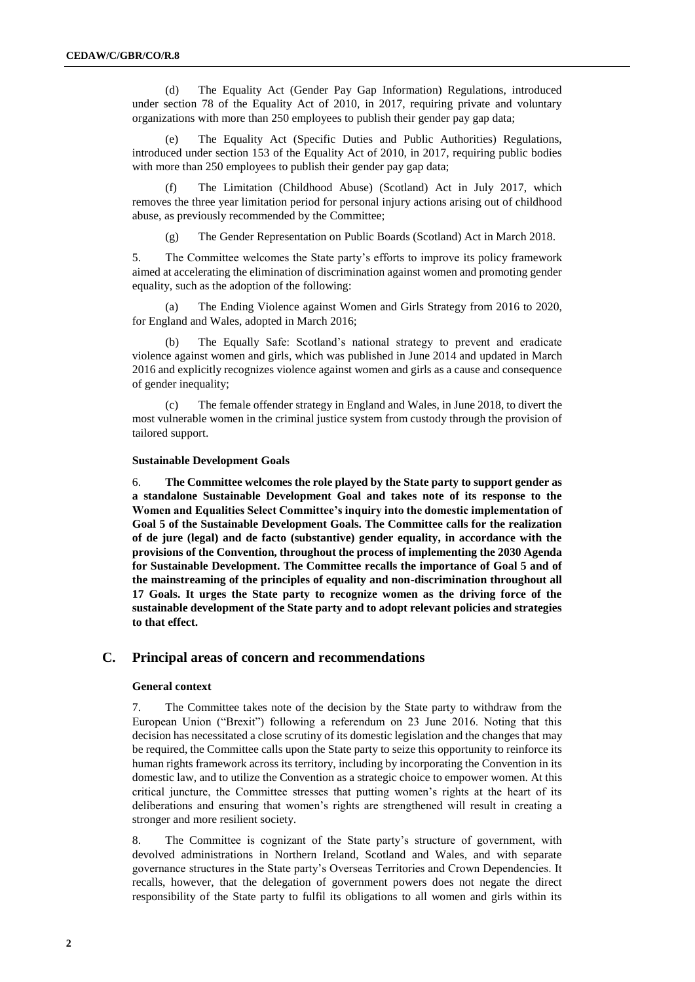(d) The Equality Act (Gender Pay Gap Information) Regulations, introduced under section 78 of the Equality Act of 2010, in 2017, requiring private and voluntary organizations with more than 250 employees to publish their gender pay gap data;

(e) The Equality Act (Specific Duties and Public Authorities) Regulations, introduced under section 153 of the Equality Act of 2010, in 2017, requiring public bodies with more than 250 employees to publish their gender pay gap data;

(f) The Limitation (Childhood Abuse) (Scotland) Act in July 2017, which removes the three year limitation period for personal injury actions arising out of childhood abuse, as previously recommended by the Committee;

(g) The Gender Representation on Public Boards (Scotland) Act in March 2018.

5. The Committee welcomes the State party's efforts to improve its policy framework aimed at accelerating the elimination of discrimination against women and promoting gender equality, such as the adoption of the following:

(a) The Ending Violence against Women and Girls Strategy from 2016 to 2020, for England and Wales, adopted in March 2016;

(b) The Equally Safe: Scotland's national strategy to prevent and eradicate violence against women and girls, which was published in June 2014 and updated in March 2016 and explicitly recognizes violence against women and girls as a cause and consequence of gender inequality;

(c) The female offender strategy in England and Wales, in June 2018, to divert the most vulnerable women in the criminal justice system from custody through the provision of tailored support.

#### **Sustainable Development Goals**

6. **The Committee welcomes the role played by the State party to support gender as a standalone Sustainable Development Goal and takes note of its response to the Women and Equalities Select Committee's inquiry into the domestic implementation of Goal 5 of the Sustainable Development Goals. The Committee calls for the realization of de jure (legal) and de facto (substantive) gender equality, in accordance with the provisions of the Convention, throughout the process of implementing the 2030 Agenda for Sustainable Development. The Committee recalls the importance of Goal 5 and of the mainstreaming of the principles of equality and non-discrimination throughout all 17 Goals. It urges the State party to recognize women as the driving force of the sustainable development of the State party and to adopt relevant policies and strategies to that effect.**

#### **C. Principal areas of concern and recommendations**

#### **General context**

7. The Committee takes note of the decision by the State party to withdraw from the European Union ("Brexit") following a referendum on 23 June 2016. Noting that this decision has necessitated a close scrutiny of its domestic legislation and the changes that may be required, the Committee calls upon the State party to seize this opportunity to reinforce its human rights framework across its territory, including by incorporating the Convention in its domestic law, and to utilize the Convention as a strategic choice to empower women. At this critical juncture, the Committee stresses that putting women's rights at the heart of its deliberations and ensuring that women's rights are strengthened will result in creating a stronger and more resilient society.

8. The Committee is cognizant of the State party's structure of government, with devolved administrations in Northern Ireland, Scotland and Wales, and with separate governance structures in the State party's Overseas Territories and Crown Dependencies. It recalls, however, that the delegation of government powers does not negate the direct responsibility of the State party to fulfil its obligations to all women and girls within its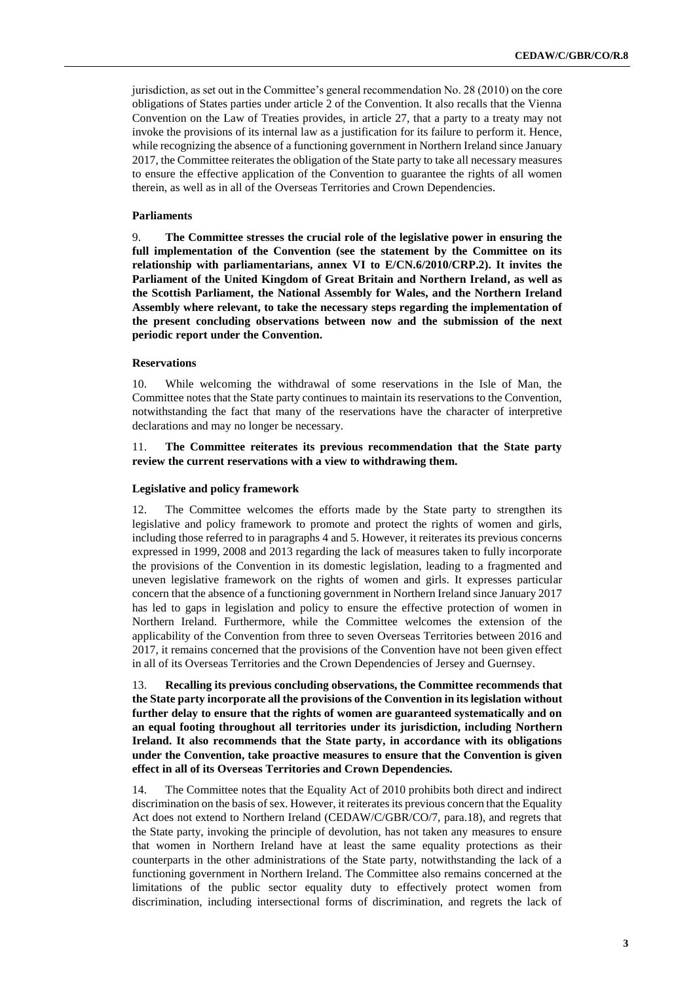jurisdiction, as set out in the Committee's general recommendation No. 28 (2010) on the core obligations of States parties under article 2 of the Convention. It also recalls that the Vienna Convention on the Law of Treaties provides, in article 27, that a party to a treaty may not invoke the provisions of its internal law as a justification for its failure to perform it. Hence, while recognizing the absence of a functioning government in Northern Ireland since January 2017, the Committee reiterates the obligation of the State party to take all necessary measures to ensure the effective application of the Convention to guarantee the rights of all women therein, as well as in all of the Overseas Territories and Crown Dependencies.

#### **Parliaments**

9. **The Committee stresses the crucial role of the legislative power in ensuring the full implementation of the Convention (see the statement by the Committee on its relationship with parliamentarians, annex VI to E/CN.6/2010/CRP.2). It invites the Parliament of the United Kingdom of Great Britain and Northern Ireland, as well as the Scottish Parliament, the National Assembly for Wales, and the Northern Ireland Assembly where relevant, to take the necessary steps regarding the implementation of the present concluding observations between now and the submission of the next periodic report under the Convention.**

#### **Reservations**

10. While welcoming the withdrawal of some reservations in the Isle of Man, the Committee notes that the State party continues to maintain its reservations to the Convention, notwithstanding the fact that many of the reservations have the character of interpretive declarations and may no longer be necessary.

#### 11. **The Committee reiterates its previous recommendation that the State party review the current reservations with a view to withdrawing them.**

#### **Legislative and policy framework**

12. The Committee welcomes the efforts made by the State party to strengthen its legislative and policy framework to promote and protect the rights of women and girls, including those referred to in paragraphs 4 and 5. However, it reiterates its previous concerns expressed in 1999, 2008 and 2013 regarding the lack of measures taken to fully incorporate the provisions of the Convention in its domestic legislation, leading to a fragmented and uneven legislative framework on the rights of women and girls. It expresses particular concern that the absence of a functioning government in Northern Ireland since January 2017 has led to gaps in legislation and policy to ensure the effective protection of women in Northern Ireland. Furthermore, while the Committee welcomes the extension of the applicability of the Convention from three to seven Overseas Territories between 2016 and 2017, it remains concerned that the provisions of the Convention have not been given effect in all of its Overseas Territories and the Crown Dependencies of Jersey and Guernsey.

13. **Recalling its previous concluding observations, the Committee recommends that the State party incorporate all the provisions of the Convention in its legislation without further delay to ensure that the rights of women are guaranteed systematically and on an equal footing throughout all territories under its jurisdiction, including Northern Ireland. It also recommends that the State party, in accordance with its obligations under the Convention, take proactive measures to ensure that the Convention is given effect in all of its Overseas Territories and Crown Dependencies.** 

14. The Committee notes that the Equality Act of 2010 prohibits both direct and indirect discrimination on the basis of sex. However, it reiterates its previous concern that the Equality Act does not extend to Northern Ireland (CEDAW/C/GBR/CO/7, para.18), and regrets that the State party, invoking the principle of devolution, has not taken any measures to ensure that women in Northern Ireland have at least the same equality protections as their counterparts in the other administrations of the State party, notwithstanding the lack of a functioning government in Northern Ireland. The Committee also remains concerned at the limitations of the public sector equality duty to effectively protect women from discrimination, including intersectional forms of discrimination, and regrets the lack of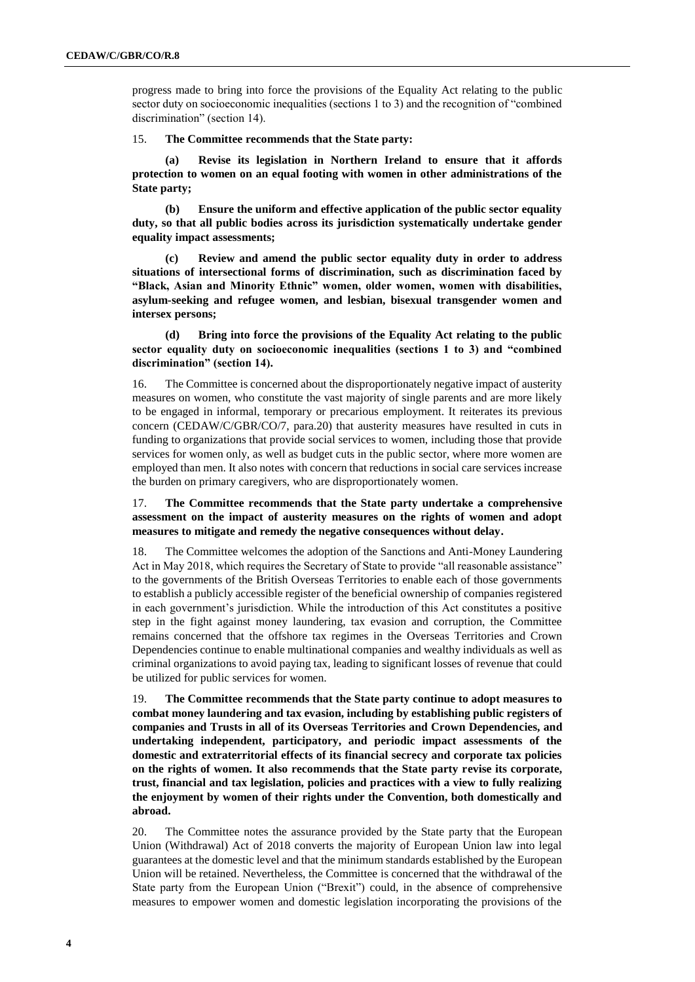progress made to bring into force the provisions of the Equality Act relating to the public sector duty on socioeconomic inequalities (sections 1 to 3) and the recognition of "combined discrimination" (section 14).

15. **The Committee recommends that the State party:** 

**(a) Revise its legislation in Northern Ireland to ensure that it affords protection to women on an equal footing with women in other administrations of the State party;**

**(b) Ensure the uniform and effective application of the public sector equality duty, so that all public bodies across its jurisdiction systematically undertake gender equality impact assessments;** 

**(c) Review and amend the public sector equality duty in order to address situations of intersectional forms of discrimination, such as discrimination faced by "Black, Asian and Minority Ethnic" women, older women, women with disabilities, asylum-seeking and refugee women, and lesbian, bisexual transgender women and intersex persons;** 

**(d) Bring into force the provisions of the Equality Act relating to the public sector equality duty on socioeconomic inequalities (sections 1 to 3) and "combined discrimination" (section 14).** 

16. The Committee is concerned about the disproportionately negative impact of austerity measures on women, who constitute the vast majority of single parents and are more likely to be engaged in informal, temporary or precarious employment. It reiterates its previous concern (CEDAW/C/GBR/CO/7, para.20) that austerity measures have resulted in cuts in funding to organizations that provide social services to women, including those that provide services for women only, as well as budget cuts in the public sector, where more women are employed than men. It also notes with concern that reductions in social care services increase the burden on primary caregivers, who are disproportionately women.

17. **The Committee recommends that the State party undertake a comprehensive assessment on the impact of austerity measures on the rights of women and adopt measures to mitigate and remedy the negative consequences without delay.** 

18. The Committee welcomes the adoption of the Sanctions and Anti-Money Laundering Act in May 2018, which requires the Secretary of State to provide "all reasonable assistance" to the governments of the British Overseas Territories to enable each of those governments to establish a publicly accessible register of the beneficial ownership of companies registered in each government's jurisdiction. While the introduction of this Act constitutes a positive step in the fight against money laundering, tax evasion and corruption, the Committee remains concerned that the offshore tax regimes in the Overseas Territories and Crown Dependencies continue to enable multinational companies and wealthy individuals as well as criminal organizations to avoid paying tax, leading to significant losses of revenue that could be utilized for public services for women.

19. **The Committee recommends that the State party continue to adopt measures to combat money laundering and tax evasion, including by establishing public registers of companies and Trusts in all of its Overseas Territories and Crown Dependencies, and undertaking independent, participatory, and periodic impact assessments of the domestic and extraterritorial effects of its financial secrecy and corporate tax policies on the rights of women. It also recommends that the State party revise its corporate, trust, financial and tax legislation, policies and practices with a view to fully realizing the enjoyment by women of their rights under the Convention, both domestically and abroad.** 

20. The Committee notes the assurance provided by the State party that the European Union (Withdrawal) Act of 2018 converts the majority of European Union law into legal guarantees at the domestic level and that the minimum standards established by the European Union will be retained. Nevertheless, the Committee is concerned that the withdrawal of the State party from the European Union ("Brexit") could, in the absence of comprehensive measures to empower women and domestic legislation incorporating the provisions of the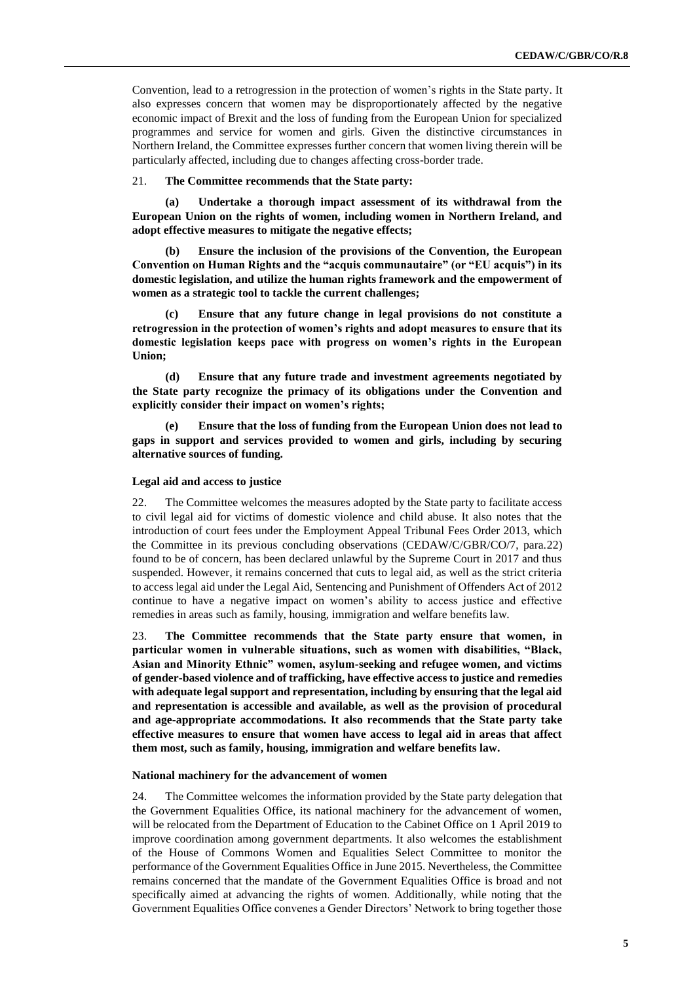Convention, lead to a retrogression in the protection of women's rights in the State party. It also expresses concern that women may be disproportionately affected by the negative economic impact of Brexit and the loss of funding from the European Union for specialized programmes and service for women and girls. Given the distinctive circumstances in Northern Ireland, the Committee expresses further concern that women living therein will be particularly affected, including due to changes affecting cross-border trade.

21. **The Committee recommends that the State party:** 

**(a) Undertake a thorough impact assessment of its withdrawal from the European Union on the rights of women, including women in Northern Ireland, and adopt effective measures to mitigate the negative effects;**

**(b) Ensure the inclusion of the provisions of the Convention, the European Convention on Human Rights and the "acquis communautaire" (or "EU acquis") in its domestic legislation, and utilize the human rights framework and the empowerment of women as a strategic tool to tackle the current challenges;**

**(c) Ensure that any future change in legal provisions do not constitute a retrogression in the protection of women's rights and adopt measures to ensure that its domestic legislation keeps pace with progress on women's rights in the European Union;**

**(d) Ensure that any future trade and investment agreements negotiated by the State party recognize the primacy of its obligations under the Convention and explicitly consider their impact on women's rights;**

**(e) Ensure that the loss of funding from the European Union does not lead to gaps in support and services provided to women and girls, including by securing alternative sources of funding.** 

#### **Legal aid and access to justice**

22. The Committee welcomes the measures adopted by the State party to facilitate access to civil legal aid for victims of domestic violence and child abuse. It also notes that the introduction of court fees under the Employment Appeal Tribunal Fees Order 2013, which the Committee in its previous concluding observations (CEDAW/C/GBR/CO/7, para.22) found to be of concern, has been declared unlawful by the Supreme Court in 2017 and thus suspended. However, it remains concerned that cuts to legal aid, as well as the strict criteria to access legal aid under the Legal Aid, Sentencing and Punishment of Offenders Act of 2012 continue to have a negative impact on women's ability to access justice and effective remedies in areas such as family, housing, immigration and welfare benefits law.

23. **The Committee recommends that the State party ensure that women, in particular women in vulnerable situations, such as women with disabilities, "Black, Asian and Minority Ethnic" women, asylum-seeking and refugee women, and victims of gender-based violence and of trafficking, have effective access to justice and remedies with adequate legal support and representation, including by ensuring that the legal aid and representation is accessible and available, as well as the provision of procedural and age-appropriate accommodations. It also recommends that the State party take effective measures to ensure that women have access to legal aid in areas that affect them most, such as family, housing, immigration and welfare benefits law.** 

#### **National machinery for the advancement of women**

24. The Committee welcomes the information provided by the State party delegation that the Government Equalities Office, its national machinery for the advancement of women, will be relocated from the Department of Education to the Cabinet Office on 1 April 2019 to improve coordination among government departments. It also welcomes the establishment of the House of Commons Women and Equalities Select Committee to monitor the performance of the Government Equalities Office in June 2015. Nevertheless, the Committee remains concerned that the mandate of the Government Equalities Office is broad and not specifically aimed at advancing the rights of women. Additionally, while noting that the Government Equalities Office convenes a Gender Directors' Network to bring together those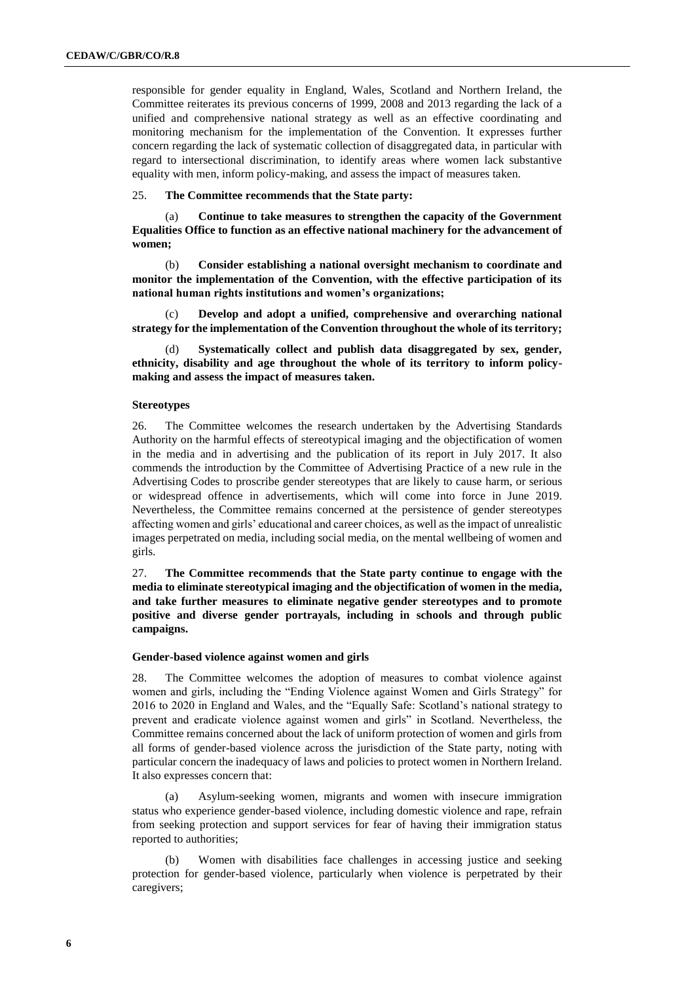responsible for gender equality in England, Wales, Scotland and Northern Ireland, the Committee reiterates its previous concerns of 1999, 2008 and 2013 regarding the lack of a unified and comprehensive national strategy as well as an effective coordinating and monitoring mechanism for the implementation of the Convention. It expresses further concern regarding the lack of systematic collection of disaggregated data, in particular with regard to intersectional discrimination, to identify areas where women lack substantive equality with men, inform policy-making, and assess the impact of measures taken.

#### 25. **The Committee recommends that the State party:**

(a) **Continue to take measures to strengthen the capacity of the Government Equalities Office to function as an effective national machinery for the advancement of women;** 

(b) **Consider establishing a national oversight mechanism to coordinate and monitor the implementation of the Convention, with the effective participation of its national human rights institutions and women's organizations;** 

(c) **Develop and adopt a unified, comprehensive and overarching national strategy for the implementation of the Convention throughout the whole of its territory;** 

Systematically collect and publish data disaggregated by sex, gender, **ethnicity, disability and age throughout the whole of its territory to inform policymaking and assess the impact of measures taken.**

#### **Stereotypes**

26. The Committee welcomes the research undertaken by the Advertising Standards Authority on the harmful effects of stereotypical imaging and the objectification of women in the media and in advertising and the publication of its report in July 2017. It also commends the introduction by the Committee of Advertising Practice of a new rule in the Advertising Codes to proscribe gender stereotypes that are likely to cause harm, or serious or widespread offence in advertisements, which will come into force in June 2019. Nevertheless, the Committee remains concerned at the persistence of gender stereotypes affecting women and girls' educational and career choices, as well as the impact of unrealistic images perpetrated on media, including social media, on the mental wellbeing of women and girls.

27. **The Committee recommends that the State party continue to engage with the media to eliminate stereotypical imaging and the objectification of women in the media, and take further measures to eliminate negative gender stereotypes and to promote positive and diverse gender portrayals, including in schools and through public campaigns.** 

#### **Gender-based violence against women and girls**

28. The Committee welcomes the adoption of measures to combat violence against women and girls, including the "Ending Violence against Women and Girls Strategy" for 2016 to 2020 in England and Wales, and the "Equally Safe: Scotland's national strategy to prevent and eradicate violence against women and girls" in Scotland. Nevertheless, the Committee remains concerned about the lack of uniform protection of women and girls from all forms of gender-based violence across the jurisdiction of the State party, noting with particular concern the inadequacy of laws and policies to protect women in Northern Ireland. It also expresses concern that:

(a) Asylum-seeking women, migrants and women with insecure immigration status who experience gender-based violence, including domestic violence and rape, refrain from seeking protection and support services for fear of having their immigration status reported to authorities;

Women with disabilities face challenges in accessing justice and seeking protection for gender-based violence, particularly when violence is perpetrated by their caregivers;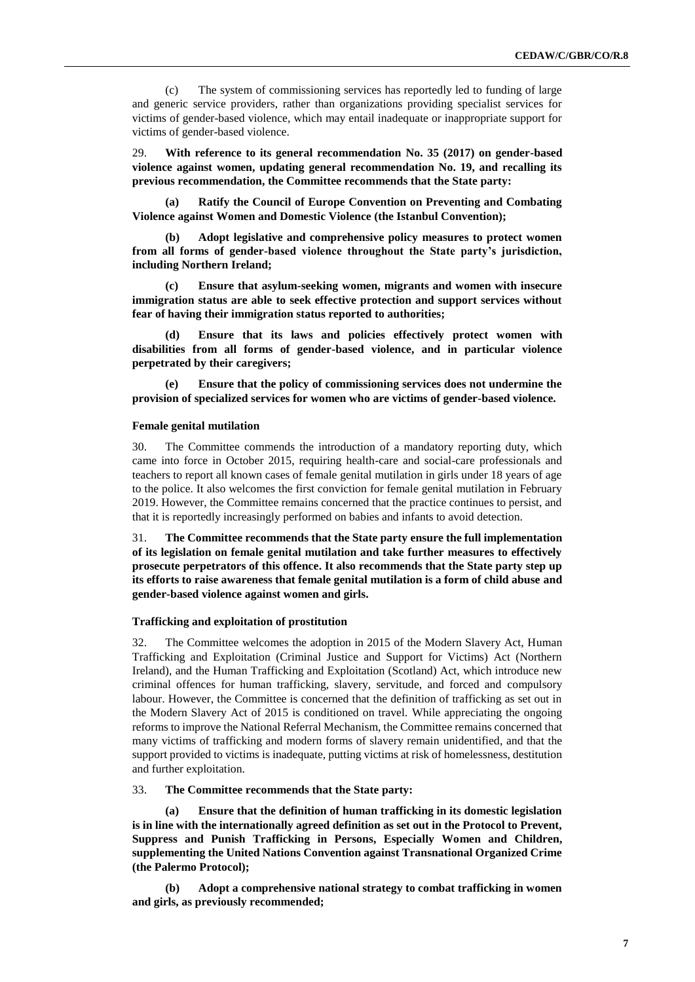(c) The system of commissioning services has reportedly led to funding of large and generic service providers, rather than organizations providing specialist services for victims of gender-based violence, which may entail inadequate or inappropriate support for victims of gender-based violence.

29. **With reference to its general recommendation No. 35 (2017) on gender-based violence against women, updating general recommendation No. 19, and recalling its previous recommendation, the Committee recommends that the State party:**

**(a) Ratify the Council of Europe Convention on Preventing and Combating Violence against Women and Domestic Violence (the Istanbul Convention);** 

**(b) Adopt legislative and comprehensive policy measures to protect women from all forms of gender-based violence throughout the State party's jurisdiction, including Northern Ireland;** 

**(c) Ensure that asylum-seeking women, migrants and women with insecure immigration status are able to seek effective protection and support services without fear of having their immigration status reported to authorities;** 

**(d) Ensure that its laws and policies effectively protect women with disabilities from all forms of gender-based violence, and in particular violence perpetrated by their caregivers;** 

**(e) Ensure that the policy of commissioning services does not undermine the provision of specialized services for women who are victims of gender-based violence.**

#### **Female genital mutilation**

30. The Committee commends the introduction of a mandatory reporting duty, which came into force in October 2015, requiring health-care and social-care professionals and teachers to report all known cases of female genital mutilation in girls under 18 years of age to the police. It also welcomes the first conviction for female genital mutilation in February 2019. However, the Committee remains concerned that the practice continues to persist, and that it is reportedly increasingly performed on babies and infants to avoid detection.

31. **The Committee recommends that the State party ensure the full implementation of its legislation on female genital mutilation and take further measures to effectively prosecute perpetrators of this offence. It also recommends that the State party step up its efforts to raise awareness that female genital mutilation is a form of child abuse and gender-based violence against women and girls.**

#### **Trafficking and exploitation of prostitution**

32. The Committee welcomes the adoption in 2015 of the Modern Slavery Act, Human Trafficking and Exploitation (Criminal Justice and Support for Victims) Act (Northern Ireland), and the Human Trafficking and Exploitation (Scotland) Act, which introduce new criminal offences for human trafficking, slavery, servitude, and forced and compulsory labour. However, the Committee is concerned that the definition of trafficking as set out in the Modern Slavery Act of 2015 is conditioned on travel. While appreciating the ongoing reforms to improve the National Referral Mechanism, the Committee remains concerned that many victims of trafficking and modern forms of slavery remain unidentified, and that the support provided to victims is inadequate, putting victims at risk of homelessness, destitution and further exploitation.

#### 33. **The Committee recommends that the State party:**

**(a) Ensure that the definition of human trafficking in its domestic legislation is in line with the internationally agreed definition as set out in the Protocol to Prevent, Suppress and Punish Trafficking in Persons, Especially Women and Children, supplementing the United Nations Convention against Transnational Organized Crime (the Palermo Protocol);** 

**(b) Adopt a comprehensive national strategy to combat trafficking in women and girls, as previously recommended;**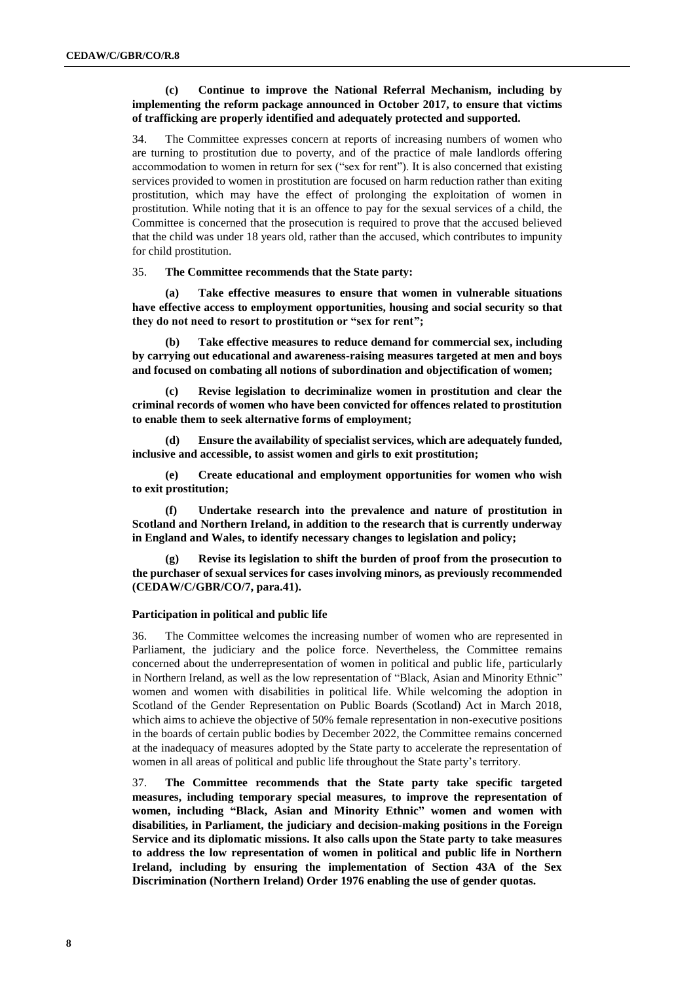#### **(c) Continue to improve the National Referral Mechanism, including by implementing the reform package announced in October 2017, to ensure that victims of trafficking are properly identified and adequately protected and supported.**

34. The Committee expresses concern at reports of increasing numbers of women who are turning to prostitution due to poverty, and of the practice of male landlords offering accommodation to women in return for sex ("sex for rent"). It is also concerned that existing services provided to women in prostitution are focused on harm reduction rather than exiting prostitution, which may have the effect of prolonging the exploitation of women in prostitution. While noting that it is an offence to pay for the sexual services of a child, the Committee is concerned that the prosecution is required to prove that the accused believed that the child was under 18 years old, rather than the accused, which contributes to impunity for child prostitution.

#### 35. **The Committee recommends that the State party:**

**(a) Take effective measures to ensure that women in vulnerable situations have effective access to employment opportunities, housing and social security so that they do not need to resort to prostitution or "sex for rent";**

**(b) Take effective measures to reduce demand for commercial sex, including by carrying out educational and awareness-raising measures targeted at men and boys and focused on combating all notions of subordination and objectification of women;** 

**(c) Revise legislation to decriminalize women in prostitution and clear the criminal records of women who have been convicted for offences related to prostitution to enable them to seek alternative forms of employment;** 

**(d) Ensure the availability of specialist services, which are adequately funded, inclusive and accessible, to assist women and girls to exit prostitution;**

**(e) Create educational and employment opportunities for women who wish to exit prostitution;**

**(f) Undertake research into the prevalence and nature of prostitution in Scotland and Northern Ireland, in addition to the research that is currently underway in England and Wales, to identify necessary changes to legislation and policy;**

**(g) Revise its legislation to shift the burden of proof from the prosecution to the purchaser of sexual services for cases involving minors, as previously recommended (CEDAW/C/GBR/CO/7, para.41).**

#### **Participation in political and public life**

36. The Committee welcomes the increasing number of women who are represented in Parliament, the judiciary and the police force. Nevertheless, the Committee remains concerned about the underrepresentation of women in political and public life, particularly in Northern Ireland, as well as the low representation of "Black, Asian and Minority Ethnic" women and women with disabilities in political life. While welcoming the adoption in Scotland of the Gender Representation on Public Boards (Scotland) Act in March 2018, which aims to achieve the objective of 50% female representation in non-executive positions in the boards of certain public bodies by December 2022, the Committee remains concerned at the inadequacy of measures adopted by the State party to accelerate the representation of women in all areas of political and public life throughout the State party's territory.

37. **The Committee recommends that the State party take specific targeted measures, including temporary special measures, to improve the representation of women, including "Black, Asian and Minority Ethnic" women and women with disabilities, in Parliament, the judiciary and decision-making positions in the Foreign Service and its diplomatic missions. It also calls upon the State party to take measures to address the low representation of women in political and public life in Northern Ireland, including by ensuring the implementation of Section 43A of the Sex Discrimination (Northern Ireland) Order 1976 enabling the use of gender quotas.**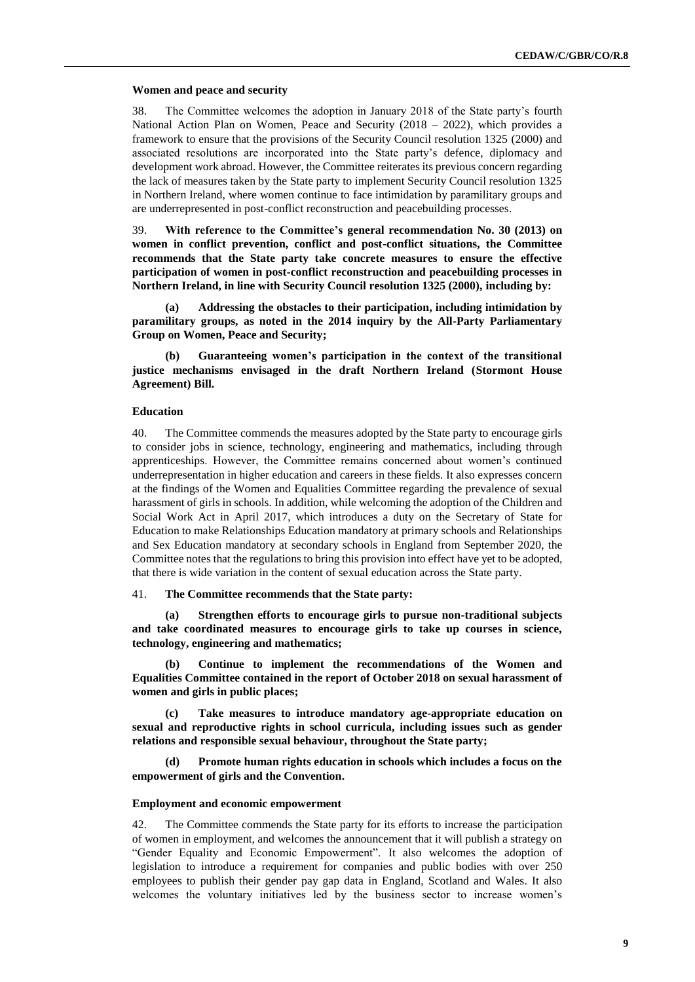#### **Women and peace and security**

38. The Committee welcomes the adoption in January 2018 of the State party's fourth National Action Plan on Women, Peace and Security  $(2018 - 2022)$ , which provides a framework to ensure that the provisions of the Security Council resolution 1325 (2000) and associated resolutions are incorporated into the State party's defence, diplomacy and development work abroad. However, the Committee reiterates its previous concern regarding the lack of measures taken by the State party to implement Security Council resolution 1325 in Northern Ireland, where women continue to face intimidation by paramilitary groups and are underrepresented in post-conflict reconstruction and peacebuilding processes.

39. **With reference to the Committee's general recommendation No. 30 (2013) on women in conflict prevention, conflict and post-conflict situations, the Committee recommends that the State party take concrete measures to ensure the effective participation of women in post-conflict reconstruction and peacebuilding processes in Northern Ireland, in line with Security Council resolution 1325 (2000), including by:**

**(a) Addressing the obstacles to their participation, including intimidation by paramilitary groups, as noted in the 2014 inquiry by the All-Party Parliamentary Group on Women, Peace and Security;** 

**(b) Guaranteeing women's participation in the context of the transitional justice mechanisms envisaged in the draft Northern Ireland (Stormont House Agreement) Bill.** 

#### **Education**

40. The Committee commends the measures adopted by the State party to encourage girls to consider jobs in science, technology, engineering and mathematics, including through apprenticeships. However, the Committee remains concerned about women's continued underrepresentation in higher education and careers in these fields. It also expresses concern at the findings of the Women and Equalities Committee regarding the prevalence of sexual harassment of girls in schools. In addition, while welcoming the adoption of the Children and Social Work Act in April 2017, which introduces a duty on the Secretary of State for Education to make Relationships Education mandatory at primary schools and Relationships and Sex Education mandatory at secondary schools in England from September 2020, the Committee notes that the regulations to bring this provision into effect have yet to be adopted, that there is wide variation in the content of sexual education across the State party.

#### 41. **The Committee recommends that the State party:**

**(a) Strengthen efforts to encourage girls to pursue non-traditional subjects and take coordinated measures to encourage girls to take up courses in science, technology, engineering and mathematics;** 

**(b) Continue to implement the recommendations of the Women and Equalities Committee contained in the report of October 2018 on sexual harassment of women and girls in public places;** 

**(c) Take measures to introduce mandatory age-appropriate education on sexual and reproductive rights in school curricula, including issues such as gender relations and responsible sexual behaviour, throughout the State party;**

**(d) Promote human rights education in schools which includes a focus on the empowerment of girls and the Convention.**

#### **Employment and economic empowerment**

42. The Committee commends the State party for its efforts to increase the participation of women in employment, and welcomes the announcement that it will publish a strategy on "Gender Equality and Economic Empowerment". It also welcomes the adoption of legislation to introduce a requirement for companies and public bodies with over 250 employees to publish their gender pay gap data in England, Scotland and Wales. It also welcomes the voluntary initiatives led by the business sector to increase women's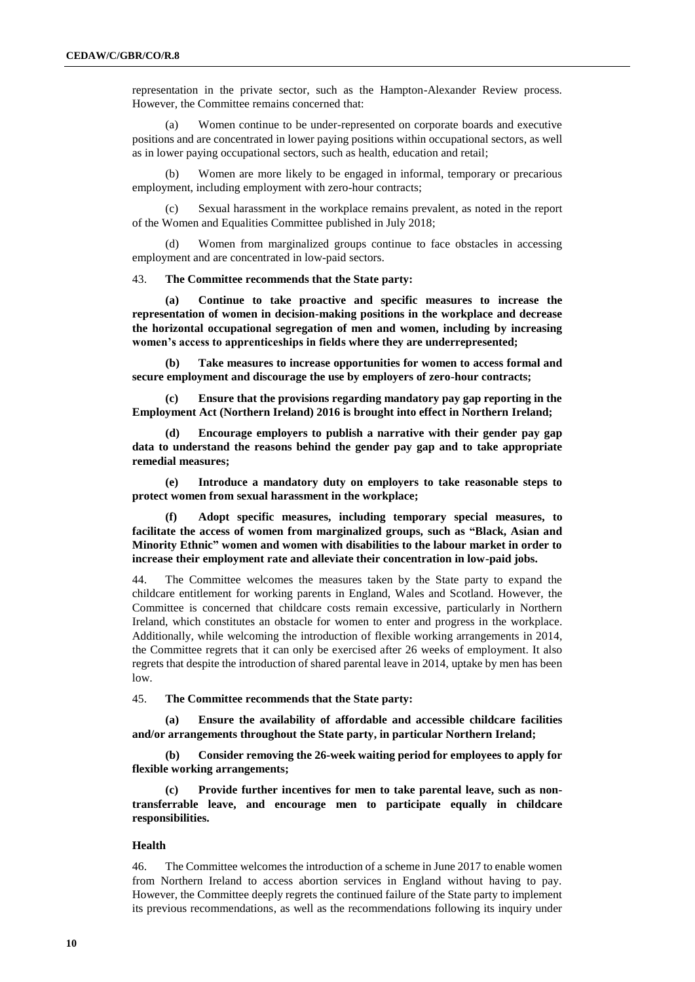representation in the private sector, such as the Hampton-Alexander Review process. However, the Committee remains concerned that:

Women continue to be under-represented on corporate boards and executive positions and are concentrated in lower paying positions within occupational sectors, as well as in lower paying occupational sectors, such as health, education and retail;

(b) Women are more likely to be engaged in informal, temporary or precarious employment, including employment with zero-hour contracts;

(c) Sexual harassment in the workplace remains prevalent, as noted in the report of the Women and Equalities Committee published in July 2018;

(d) Women from marginalized groups continue to face obstacles in accessing employment and are concentrated in low-paid sectors.

43. **The Committee recommends that the State party:** 

**(a) Continue to take proactive and specific measures to increase the representation of women in decision-making positions in the workplace and decrease the horizontal occupational segregation of men and women, including by increasing women's access to apprenticeships in fields where they are underrepresented;**

**(b) Take measures to increase opportunities for women to access formal and secure employment and discourage the use by employers of zero-hour contracts;** 

**(c) Ensure that the provisions regarding mandatory pay gap reporting in the Employment Act (Northern Ireland) 2016 is brought into effect in Northern Ireland;** 

**(d) Encourage employers to publish a narrative with their gender pay gap data to understand the reasons behind the gender pay gap and to take appropriate remedial measures;** 

**(e) Introduce a mandatory duty on employers to take reasonable steps to protect women from sexual harassment in the workplace;** 

**(f) Adopt specific measures, including temporary special measures, to facilitate the access of women from marginalized groups, such as "Black, Asian and Minority Ethnic" women and women with disabilities to the labour market in order to increase their employment rate and alleviate their concentration in low-paid jobs.** 

44. The Committee welcomes the measures taken by the State party to expand the childcare entitlement for working parents in England, Wales and Scotland. However, the Committee is concerned that childcare costs remain excessive, particularly in Northern Ireland, which constitutes an obstacle for women to enter and progress in the workplace. Additionally, while welcoming the introduction of flexible working arrangements in 2014, the Committee regrets that it can only be exercised after 26 weeks of employment. It also regrets that despite the introduction of shared parental leave in 2014, uptake by men has been low.

45. **The Committee recommends that the State party:** 

**(a) Ensure the availability of affordable and accessible childcare facilities and/or arrangements throughout the State party, in particular Northern Ireland;** 

**(b) Consider removing the 26-week waiting period for employees to apply for flexible working arrangements;** 

**(c) Provide further incentives for men to take parental leave, such as nontransferrable leave, and encourage men to participate equally in childcare responsibilities.**

#### **Health**

46. The Committee welcomes the introduction of a scheme in June 2017 to enable women from Northern Ireland to access abortion services in England without having to pay. However, the Committee deeply regrets the continued failure of the State party to implement its previous recommendations, as well as the recommendations following its inquiry under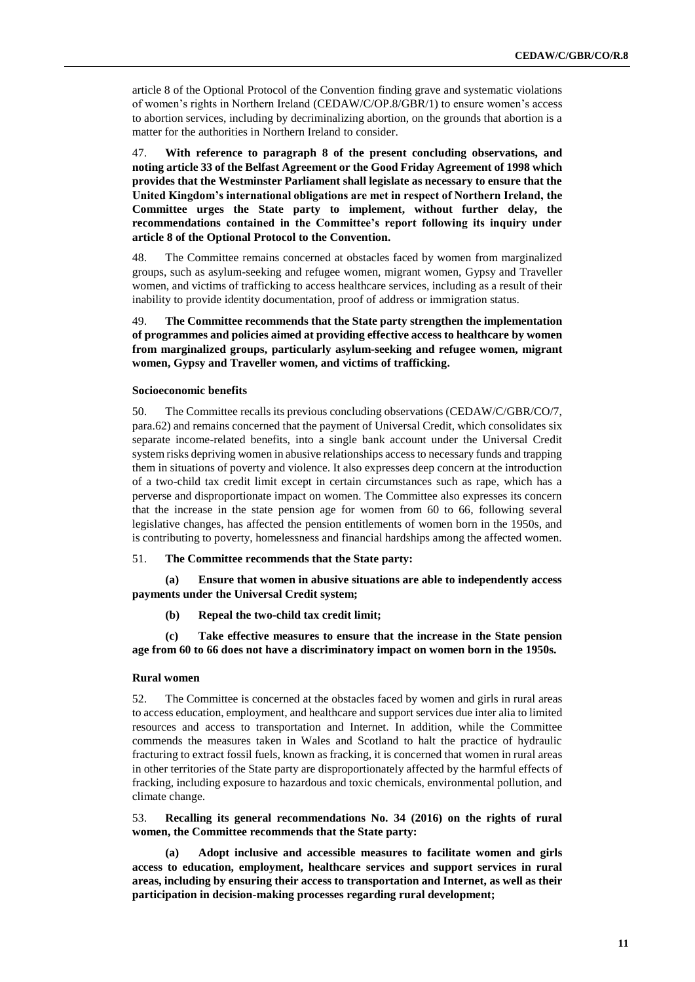article 8 of the Optional Protocol of the Convention finding grave and systematic violations of women's rights in Northern Ireland (CEDAW/C/OP.8/GBR/1) to ensure women's access to abortion services, including by decriminalizing abortion, on the grounds that abortion is a matter for the authorities in Northern Ireland to consider.

47. **With reference to paragraph 8 of the present concluding observations, and noting article 33 of the Belfast Agreement or the Good Friday Agreement of 1998 which provides that the Westminster Parliament shall legislate as necessary to ensure that the United Kingdom's international obligations are met in respect of Northern Ireland, the Committee urges the State party to implement, without further delay, the recommendations contained in the Committee's report following its inquiry under article 8 of the Optional Protocol to the Convention.**

48. The Committee remains concerned at obstacles faced by women from marginalized groups, such as asylum-seeking and refugee women, migrant women, Gypsy and Traveller women, and victims of trafficking to access healthcare services, including as a result of their inability to provide identity documentation, proof of address or immigration status.

49. **The Committee recommends that the State party strengthen the implementation of programmes and policies aimed at providing effective access to healthcare by women from marginalized groups, particularly asylum-seeking and refugee women, migrant women, Gypsy and Traveller women, and victims of trafficking.**

#### **Socioeconomic benefits**

50. The Committee recalls its previous concluding observations (CEDAW/C/GBR/CO/7, para.62) and remains concerned that the payment of Universal Credit, which consolidates six separate income-related benefits, into a single bank account under the Universal Credit system risks depriving women in abusive relationships access to necessary funds and trapping them in situations of poverty and violence. It also expresses deep concern at the introduction of a two-child tax credit limit except in certain circumstances such as rape, which has a perverse and disproportionate impact on women. The Committee also expresses its concern that the increase in the state pension age for women from 60 to 66, following several legislative changes, has affected the pension entitlements of women born in the 1950s, and is contributing to poverty, homelessness and financial hardships among the affected women.

#### 51. **The Committee recommends that the State party:**

**(a) Ensure that women in abusive situations are able to independently access payments under the Universal Credit system;** 

**(b) Repeal the two-child tax credit limit;** 

**(c) Take effective measures to ensure that the increase in the State pension age from 60 to 66 does not have a discriminatory impact on women born in the 1950s.**

#### **Rural women**

52. The Committee is concerned at the obstacles faced by women and girls in rural areas to access education, employment, and healthcare and support services due inter alia to limited resources and access to transportation and Internet. In addition, while the Committee commends the measures taken in Wales and Scotland to halt the practice of hydraulic fracturing to extract fossil fuels, known as fracking, it is concerned that women in rural areas in other territories of the State party are disproportionately affected by the harmful effects of fracking, including exposure to hazardous and toxic chemicals, environmental pollution, and climate change.

53. **Recalling its general recommendations No. 34 (2016) on the rights of rural women, the Committee recommends that the State party:** 

**(a) Adopt inclusive and accessible measures to facilitate women and girls access to education, employment, healthcare services and support services in rural areas, including by ensuring their access to transportation and Internet, as well as their participation in decision-making processes regarding rural development;**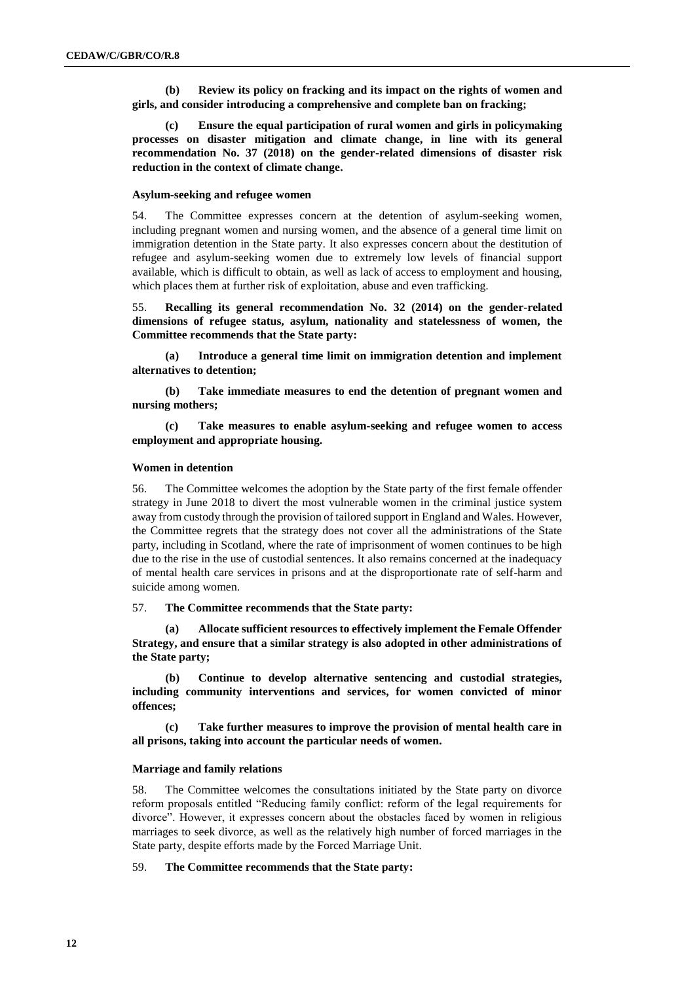**(b) Review its policy on fracking and its impact on the rights of women and girls, and consider introducing a comprehensive and complete ban on fracking;** 

**(c) Ensure the equal participation of rural women and girls in policymaking processes on disaster mitigation and climate change, in line with its general recommendation No. 37 (2018) on the gender-related dimensions of disaster risk reduction in the context of climate change.**

#### **Asylum-seeking and refugee women**

54. The Committee expresses concern at the detention of asylum-seeking women, including pregnant women and nursing women, and the absence of a general time limit on immigration detention in the State party. It also expresses concern about the destitution of refugee and asylum-seeking women due to extremely low levels of financial support available, which is difficult to obtain, as well as lack of access to employment and housing, which places them at further risk of exploitation, abuse and even trafficking.

55. **Recalling its general recommendation No. 32 (2014) on the gender-related dimensions of refugee status, asylum, nationality and statelessness of women, the Committee recommends that the State party:** 

**(a) Introduce a general time limit on immigration detention and implement alternatives to detention;** 

**(b) Take immediate measures to end the detention of pregnant women and nursing mothers;** 

**(c) Take measures to enable asylum-seeking and refugee women to access employment and appropriate housing.**

#### **Women in detention**

56. The Committee welcomes the adoption by the State party of the first female offender strategy in June 2018 to divert the most vulnerable women in the criminal justice system away from custody through the provision of tailored support in England and Wales. However, the Committee regrets that the strategy does not cover all the administrations of the State party, including in Scotland, where the rate of imprisonment of women continues to be high due to the rise in the use of custodial sentences. It also remains concerned at the inadequacy of mental health care services in prisons and at the disproportionate rate of self-harm and suicide among women.

57. **The Committee recommends that the State party:**

**(a) Allocate sufficient resources to effectively implement the Female Offender Strategy, and ensure that a similar strategy is also adopted in other administrations of the State party;** 

**(b) Continue to develop alternative sentencing and custodial strategies, including community interventions and services, for women convicted of minor offences;** 

**(c) Take further measures to improve the provision of mental health care in all prisons, taking into account the particular needs of women.**

#### **Marriage and family relations**

58. The Committee welcomes the consultations initiated by the State party on divorce reform proposals entitled "Reducing family conflict: reform of the legal requirements for divorce". However, it expresses concern about the obstacles faced by women in religious marriages to seek divorce, as well as the relatively high number of forced marriages in the State party, despite efforts made by the Forced Marriage Unit.

59. **The Committee recommends that the State party:**